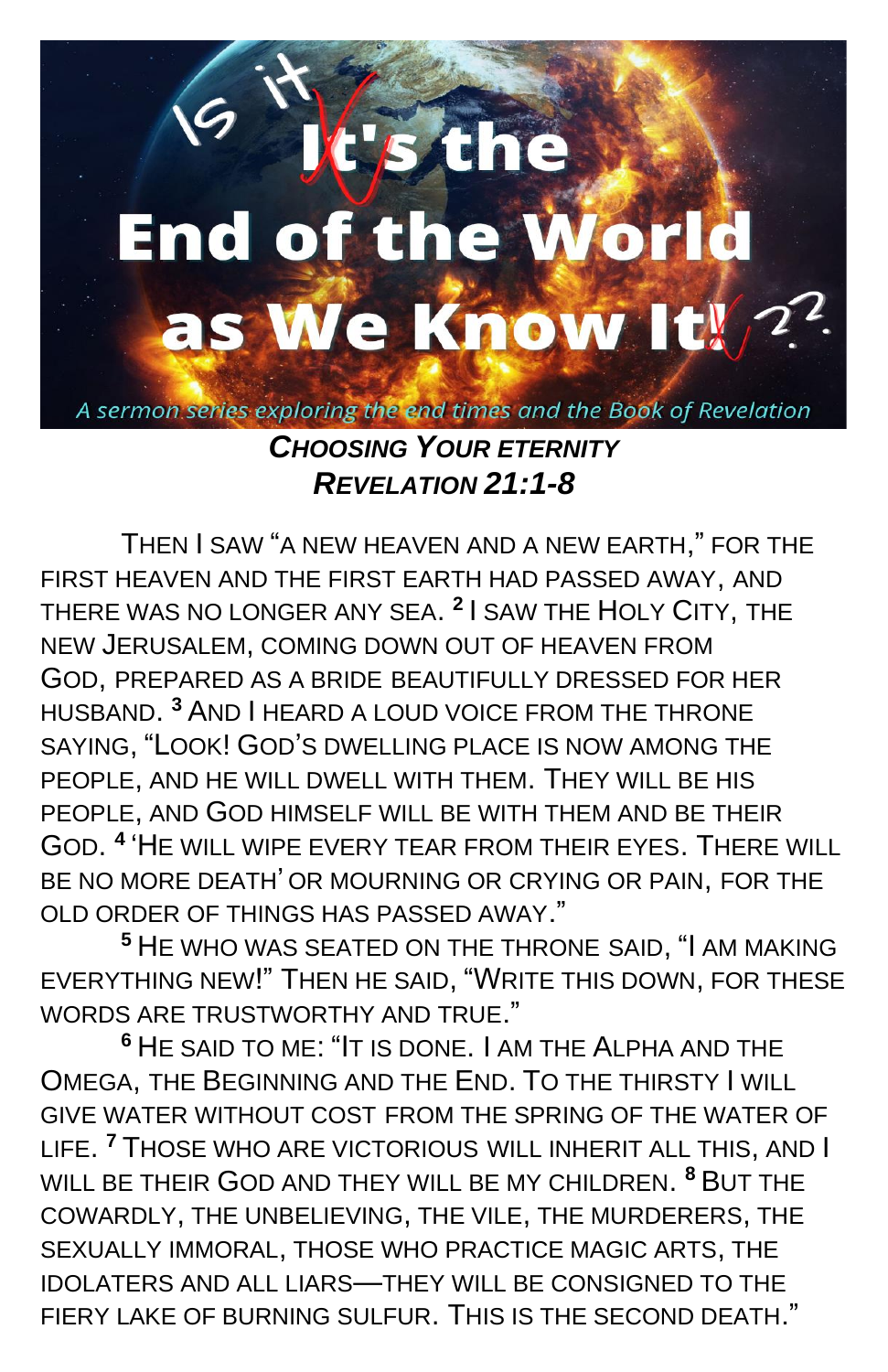## t's the **End of the World** as We Know It! 22 A sermon series exploring the end times and the Book of Revelation *CHOOSING YOUR ETERNITY*

*REVELATION 21:1-8*

THEN I SAW "A NEW HEAVEN AND A NEW EARTH," FOR THE FIRST HEAVEN AND THE FIRST EARTH HAD PASSED AWAY, AND THERE WAS NO LONGER ANY SEA. **2** I SAW THE HOLY CITY, THE NEW JERUSALEM, COMING DOWN OUT OF HEAVEN FROM GOD, PREPARED AS A BRIDE BEAUTIFULLY DRESSED FOR HER HUSBAND. **<sup>3</sup>** AND I HEARD A LOUD VOICE FROM THE THRONE SAYING, "LOOK! GOD'S DWELLING PLACE IS NOW AMONG THE PEOPLE, AND HE WILL DWELL WITH THEM. THEY WILL BE HIS PEOPLE, AND GOD HIMSELF WILL BE WITH THEM AND BE THEIR GOD. **4** 'HE WILL WIPE EVERY TEAR FROM THEIR EYES. THERE WILL BE NO MORE DEATH' OR MOURNING OR CRYING OR PAIN, FOR THE OLD ORDER OF THINGS HAS PASSED AWAY."

**<sup>5</sup>** HE WHO WAS SEATED ON THE THRONE SAID, "I AM MAKING EVERYTHING NEW!" THEN HE SAID, "WRITE THIS DOWN, FOR THESE WORDS ARE TRUSTWORTHY AND TRUE."

**<sup>6</sup>** HE SAID TO ME: "IT IS DONE. I AM THE ALPHA AND THE OMEGA, THE BEGINNING AND THE END. TO THE THIRSTY I WILL GIVE WATER WITHOUT COST FROM THE SPRING OF THE WATER OF LIFE. **<sup>7</sup>** THOSE WHO ARE VICTORIOUS WILL INHERIT ALL THIS, AND I WILL BE THEIR GOD AND THEY WILL BE MY CHILDREN. **<sup>8</sup>** BUT THE COWARDLY, THE UNBELIEVING, THE VILE, THE MURDERERS, THE SEXUALLY IMMORAL, THOSE WHO PRACTICE MAGIC ARTS, THE IDOLATERS AND ALL LIARS—THEY WILL BE CONSIGNED TO THE FIERY LAKE OF BURNING SULFUR. THIS IS THE SECOND DEATH."